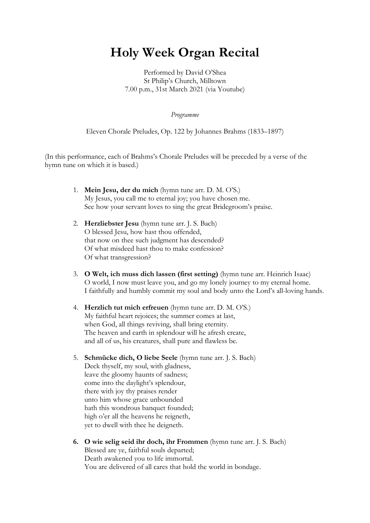# Holy Week Organ Recital

Performed by David O'Shea St Philip's Church, Milltown 7.00 p.m., 31st March 2021 (via Youtube)

Programme

Eleven Chorale Preludes, Op. 122 by Johannes Brahms (1833–1897)

(In this performance, each of Brahms's Chorale Preludes will be preceded by a verse of the hymn tune on which it is based.)

- 1. Mein Jesu, der du mich (hymn tune arr. D. M. O'S.) My Jesus, you call me to eternal joy; you have chosen me. See how your servant loves to sing the great Bridegroom's praise.
- 2. Herzliebster Jesu (hymn tune arr. J. S. Bach) O blessed Jesu, how hast thou offended, that now on thee such judgment has descended? Of what misdeed hast thou to make confession? Of what transgression?
- 3. O Welt, ich muss dich lassen (first setting) (hymn tune arr. Heinrich Isaac) O world, I now must leave you, and go my lonely journey to my eternal home. I faithfully and humbly commit my soul and body unto the Lord's all-loving hands.
- 4. Herzlich tut mich erfreuen (hymn tune arr. D. M. O'S.) My faithful heart rejoices; the summer comes at last, when God, all things reviving, shall bring eternity. The heaven and earth in splendour will he afresh create, and all of us, his creatures, shall pure and flawless be.
- 5. Schmücke dich, O liebe Seele (hymn tune arr. J. S. Bach) Deck thyself, my soul, with gladness, leave the gloomy haunts of sadness; come into the daylight's splendour, there with joy thy praises render unto him whose grace unbounded hath this wondrous banquet founded; high o'er all the heavens he reigneth, yet to dwell with thee he deigneth.
- 6. O wie selig seid ihr doch, ihr Frommen (hymn tune arr. J. S. Bach) Blessed are ye, faithful souls departed; Death awakened you to life immortal. You are delivered of all cares that hold the world in bondage.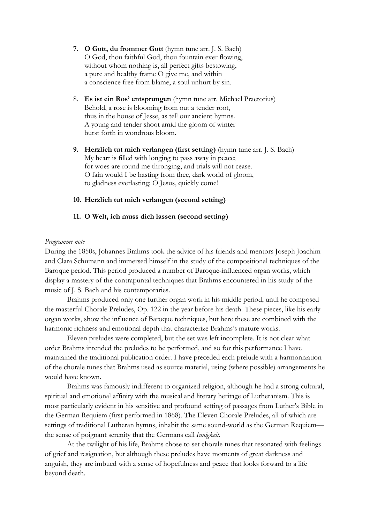- 7. O Gott, du frommer Gott (hymn tune arr. J. S. Bach) O God, thou faithful God, thou fountain ever flowing, without whom nothing is, all perfect gifts bestowing, a pure and healthy frame O give me, and within a conscience free from blame, a soul unhurt by sin.
- 8. Es ist ein Ros' entsprungen (hymn tune arr. Michael Praetorius) Behold, a rose is blooming from out a tender root, thus in the house of Jesse, as tell our ancient hymns. A young and tender shoot amid the gloom of winter burst forth in wondrous bloom.
- 9. Herzlich tut mich verlangen (first setting) (hymn tune arr. J. S. Bach) My heart is filled with longing to pass away in peace; for woes are round me thronging, and trials will not cease. O fain would I be hasting from thee, dark world of gloom, to gladness everlasting; O Jesus, quickly come!

### 10. Herzlich tut mich verlangen (second setting)

#### 11. O Welt, ich muss dich lassen (second setting)

#### Programme note

During the 1850s, Johannes Brahms took the advice of his friends and mentors Joseph Joachim and Clara Schumann and immersed himself in the study of the compositional techniques of the Baroque period. This period produced a number of Baroque-influenced organ works, which display a mastery of the contrapuntal techniques that Brahms encountered in his study of the music of J. S. Bach and his contemporaries.

Brahms produced only one further organ work in his middle period, until he composed the masterful Chorale Preludes, Op. 122 in the year before his death. These pieces, like his early organ works, show the influence of Baroque techniques, but here these are combined with the harmonic richness and emotional depth that characterize Brahms's mature works.

Eleven preludes were completed, but the set was left incomplete. It is not clear what order Brahms intended the preludes to be performed, and so for this performance I have maintained the traditional publication order. I have preceded each prelude with a harmonization of the chorale tunes that Brahms used as source material, using (where possible) arrangements he would have known.

Brahms was famously indifferent to organized religion, although he had a strong cultural, spiritual and emotional affinity with the musical and literary heritage of Lutheranism. This is most particularly evident in his sensitive and profound setting of passages from Luther's Bible in the German Requiem (first performed in 1868). The Eleven Chorale Preludes, all of which are settings of traditional Lutheran hymns, inhabit the same sound-world as the German Requiem the sense of poignant serenity that the Germans call Innigkeit.

At the twilight of his life, Brahms chose to set chorale tunes that resonated with feelings of grief and resignation, but although these preludes have moments of great darkness and anguish, they are imbued with a sense of hopefulness and peace that looks forward to a life beyond death.